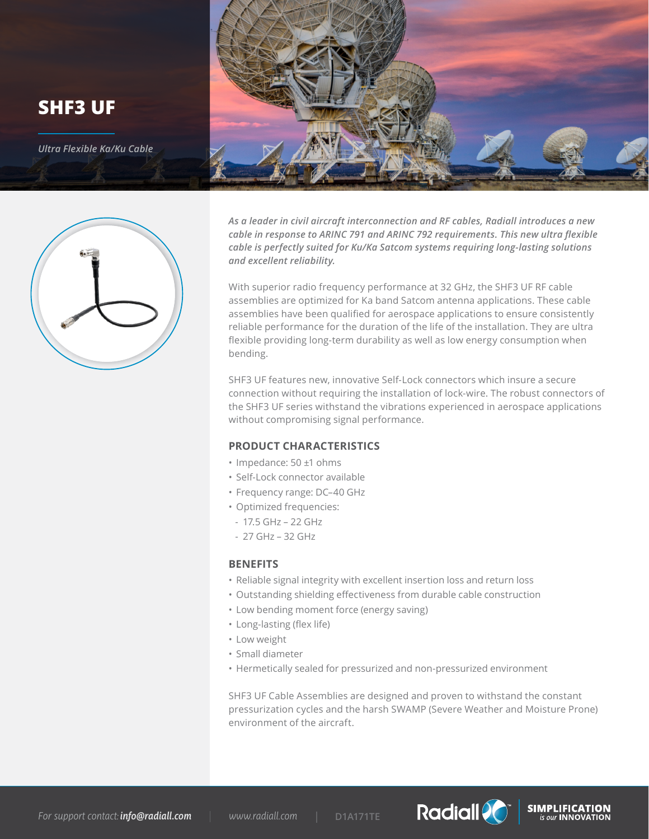



*As a leader in civil aircraft interconnection and RF cables, Radiall introduces a new cable in response to ARINC 791 and ARINC 792 requirements. This new ultra flexible cable is perfectly suited for Ku/Ka Satcom systems requiring long-lasting solutions and excellent reliability.* 

With superior radio frequency performance at 32 GHz, the SHF3 UF RF cable assemblies are optimized for Ka band Satcom antenna applications. These cable assemblies have been qualified for aerospace applications to ensure consistently reliable performance for the duration of the life of the installation. They are ultra flexible providing long-term durability as well as low energy consumption when bending.

SHF3 UF features new, innovative Self-Lock connectors which insure a secure connection without requiring the installation of lock-wire. The robust connectors of the SHF3 UF series withstand the vibrations experienced in aerospace applications without compromising signal performance.

## **PRODUCT CHARACTERISTICS**

- Impedance: 50 ±1 ohms
- Self-Lock connector available
- Frequency range: DC–40 GHz
- Optimized frequencies:
- 17.5 GHz 22 GHz
- 27 GHz 32 GHz

#### **BENEFITS**

- Reliable signal integrity with excellent insertion loss and return loss
- Outstanding shielding effectiveness from durable cable construction
- Low bending moment force (energy saving)
- Long-lasting (flex life)
- Low weight
- Small diameter
- Hermetically sealed for pressurized and non-pressurized environment

SHF3 UF Cable Assemblies are designed and proven to withstand the constant pressurization cycles and the harsh SWAMP (Severe Weather and Moisture Prone) environment of the aircraft.